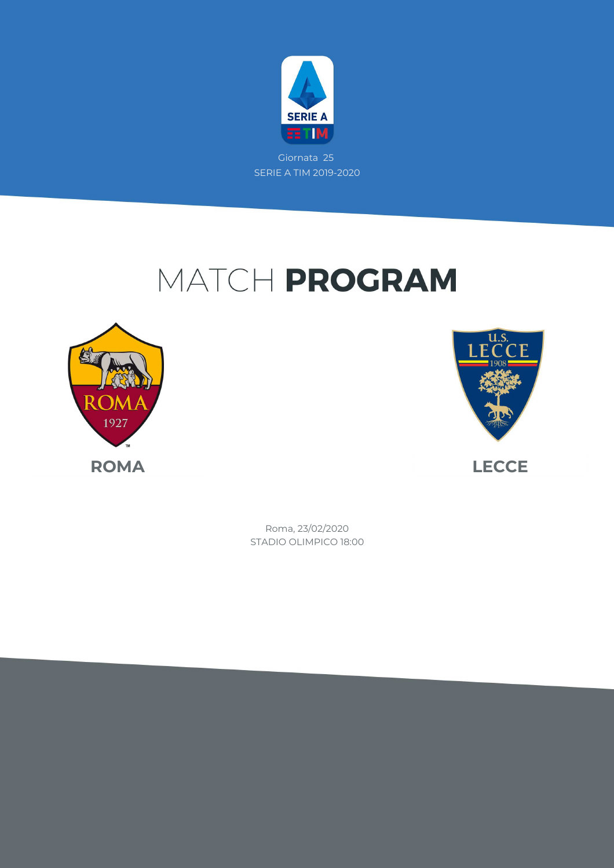

Giornata 25 SERIE A TIM 2019-2020

## MATCH PROGRAM





STADIO OLIMPICO 18:00 Roma, 23/02/2020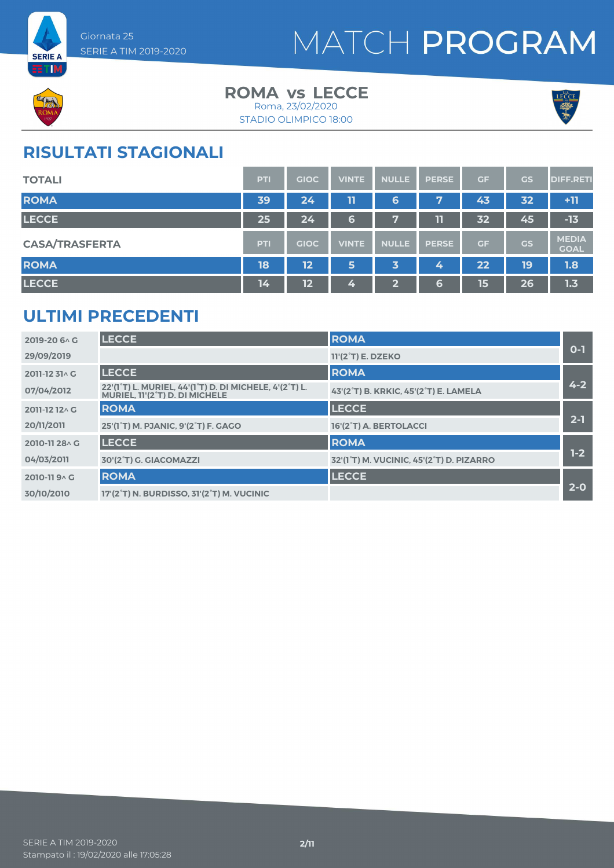



### **ROMA** vs LECCE Roma, 23/02/2020



#### STADIO OLIMPICO 18:00

### **RISULTATI STAGIONALI**

| <b>TOTALI</b>         | PTI | <b>GIOC</b> | <b>VINTE</b> | <b>NULLE</b>   | <b>PERSE</b> | GF | <b>GS</b> | <b>DIFF.RETI</b>            |
|-----------------------|-----|-------------|--------------|----------------|--------------|----|-----------|-----------------------------|
| <b>ROMA</b>           | 39  | 24          | 11           | 6              | 7            | 43 | 32        | $+11$                       |
| <b>LECCE</b>          | 25  | 24          | 6            | $\overline{r}$ | 11           | 32 | 45        | $-13$                       |
| <b>CASA/TRASFERTA</b> | PTI | <b>GIOC</b> | <b>VINTE</b> | <b>NULLE</b>   | <b>PERSE</b> | GF | <b>GS</b> | <b>MEDIA</b><br><b>GOAL</b> |
| <b>ROMA</b>           | 18  | 12          | 5            | 3              | 4            | 22 | 19        | 1.8                         |
| <b>LECCE</b>          | 14  | 12          | 4            | $\mathbf{Z}$   | 6            | 15 | 26        | 1.3                         |

### **ULTIMI PRECEDENTI**

| 2019-20 6 \ G  | <b>LECCE</b>                                                                             | <b>ROMA</b>                              |         |
|----------------|------------------------------------------------------------------------------------------|------------------------------------------|---------|
| 29/09/2019     |                                                                                          | 11'(2 <sup>°</sup> T) E. DZEKO           | $0 - 1$ |
| 2011-12 31^ G  | <b>LECCE</b>                                                                             | <b>ROMA</b>                              |         |
| 07/04/2012     | 22'(1°T) L. MURIEL, 44'(1°T) D. DI MICHELE, 4'(2°T) L.<br>MURIEL. 11'(2°T) D. DI MICHELE | 43'(2°T) B. KRKIC, 45'(2°T) E. LAMELA    | $4 - 2$ |
| 2011-12 12 \ G | <b>ROMA</b>                                                                              | <b>LECCE</b>                             |         |
| 20/11/2011     | 25'(1°T) M. PJANIC, 9'(2°T) F. GAGO                                                      | 16'(2°T) A. BERTOLACCI                   | $2 - 1$ |
| 2010-11 28 \ G | <b>LECCE</b>                                                                             | <b>ROMA</b>                              |         |
| 04/03/2011     | 30'(2°T) G. GIACOMAZZI                                                                   | 32'(1°T) M. VUCINIC, 45'(2°T) D. PIZARRO | $1-2$   |
| 2010-119 ^ G   | <b>ROMA</b>                                                                              | <b>LECCE</b>                             |         |
| 30/10/2010     | 17'(2°T) N. BURDISSO, 31'(2°T) M. VUCINIC                                                |                                          | $2 - 0$ |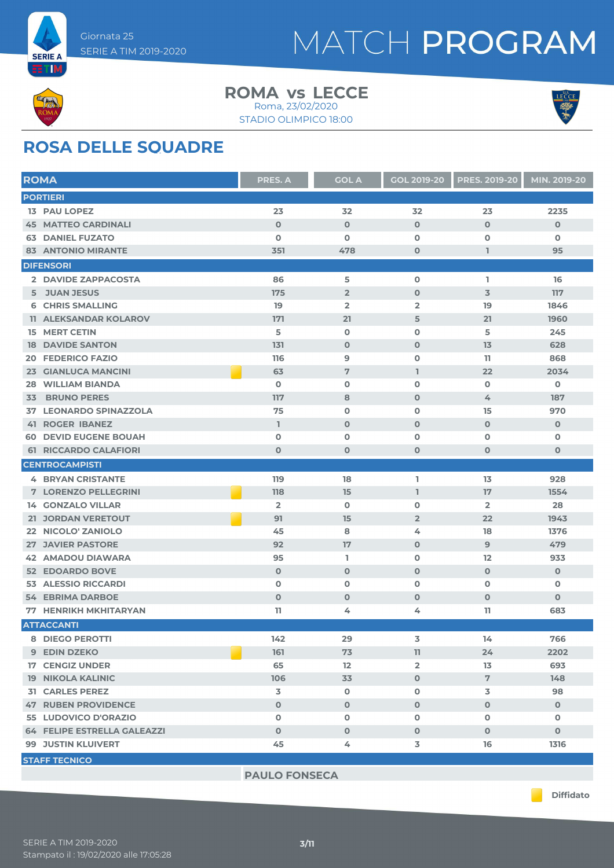



#### **ROMA** vs LECCE Roma, 23/02/2020

STADIO OLIMPICO 18:00



## **ROSA DELLE SQUADRE**

| <b>ROMA</b>                   |                               | <b>PRES. A</b> | <b>GOL A</b>   | <b>GOL 2019-20</b>      | <b>PRES. 2019-20</b> | MIN. 2019-20 |
|-------------------------------|-------------------------------|----------------|----------------|-------------------------|----------------------|--------------|
| <b>PORTIERI</b>               |                               |                |                |                         |                      |              |
| <b>13 PAU LOPEZ</b>           |                               | 23             | 32             | 32                      | 23                   | 2235         |
| <b>45 MATTEO CARDINALI</b>    |                               | $\mathbf 0$    | $\mathbf 0$    | $\mathbf 0$             | $\mathbf 0$          | $\mathbf 0$  |
| <b>63 DANIEL FUZATO</b>       |                               | $\mathbf 0$    | $\mathbf 0$    | $\mathbf 0$             | $\mathbf 0$          | $\mathbf o$  |
| <b>83 ANTONIO MIRANTE</b>     |                               | 351            | 478            | $\mathbf 0$             | I.                   | 95           |
| <b>DIFENSORI</b>              |                               |                |                |                         |                      |              |
| 2 DAVIDE ZAPPACOSTA           |                               | 86             | 5              | $\mathbf 0$             | T.                   | 16           |
| 5 JUAN JESUS                  |                               | 175            | $\overline{2}$ | $\mathbf 0$             | 3                    | 117          |
| <b>6 CHRIS SMALLING</b>       |                               | 19             | $\overline{2}$ | $\overline{\mathbf{2}}$ | 19                   | 1846         |
|                               | <b>11 ALEKSANDAR KOLAROV</b>  | 171            | 21             | 5                       | 21                   | 1960         |
| <b>15 MERT CETIN</b>          |                               | 5              | O              | $\mathbf 0$             | 5                    | 245          |
| <b>DAVIDE SANTON</b><br>18    |                               | 131            | $\mathbf 0$    | $\mathbf 0$             | 13                   | 628          |
| <b>FEDERICO FAZIO</b><br>20   |                               | 116            | 9              | $\mathbf 0$             | 11                   | 868          |
| 23                            | <b>GIANLUCA MANCINI</b>       | 63             | $\overline{7}$ | L                       | 22                   | 2034         |
| <b>WILLIAM BIANDA</b><br>28   |                               | $\mathbf 0$    | O              | 0                       | $\mathbf 0$          | $\mathbf 0$  |
| <b>BRUNO PERES</b><br>33      |                               | 117            | 8              | $\mathbf 0$             | 4                    | 187          |
|                               | <b>37 LEONARDO SPINAZZOLA</b> | 75             | $\mathbf 0$    | $\mathbf 0$             | 15                   | 970          |
| <b>41 ROGER IBANEZ</b>        |                               | $\mathbb{I}$   | $\mathbf 0$    | $\mathbf 0$             | $\mathbf 0$          | $\mathbf 0$  |
| <b>60 DEVID EUGENE BOUAH</b>  |                               | O              | O              | $\mathbf 0$             | $\mathbf 0$          | 0            |
| <b>61 RICCARDO CALAFIORI</b>  |                               | $\mathbf 0$    | $\mathbf 0$    | $\mathbf 0$             | $\mathbf 0$          | 0            |
| <b>CENTROCAMPISTI</b>         |                               |                |                |                         |                      |              |
| <b>4 BRYAN CRISTANTE</b>      |                               | 119            | 18             | L                       | 13                   | 928          |
| <b>7 LORENZO PELLEGRINI</b>   |                               | 118            | 15             | L                       | 17                   | 1554         |
| <b>14 GONZALO VILLAR</b>      |                               | $\overline{2}$ | O              | $\mathbf 0$             | $\overline{2}$       | 28           |
| 21 JORDAN VERETOUT            |                               | 91             | 15             | $\overline{2}$          | 22                   | 1943         |
| 22 NICOLO' ZANIOLO            |                               | 45             | 8              | 4                       | 18                   | 1376         |
| <b>27 JAVIER PASTORE</b>      |                               | 92             | 17             | $\mathbf 0$             | 9                    | 479          |
| 42                            | <b>AMADOU DIAWARA</b>         | 95             | L.             | 0                       | 12                   | 933          |
| 52 EDOARDO BOVE               |                               | $\mathbf 0$    | $\mathbf 0$    | $\mathbf 0$             | $\mathbf 0$          | $\mathbf 0$  |
| <b>ALESSIO RICCARDI</b><br>53 |                               | $\mathbf 0$    | $\mathbf 0$    | 0                       | $\mathbf 0$          | O            |
| <b>54 EBRIMA DARBOE</b>       |                               | $\mathbf 0$    | $\mathbf 0$    | $\mathbf 0$             | $\mathbf 0$          | $\mathbf 0$  |
| <b>77 HENRIKH MKHITARYAN</b>  |                               | 11             | 4              | 4                       | 11                   | 683          |
| <b>ATTACCANTI</b>             |                               |                |                |                         |                      |              |
| 8 DIEGO PEROTTI               |                               | 142            | 29             | 3                       | 14                   | 766          |
| 9 EDIN DZEKO                  |                               | 161            | 73             | 11                      | 24                   | 2202         |
| <b>17 CENGIZ UNDER</b>        |                               | 65             | 12             | $\overline{2}$          | 13                   | 693          |
| <b>19 NIKOLA KALINIC</b>      |                               | 106            | 33             | $\mathbf 0$             | $\overline{7}$       | 148          |
| <b>31 CARLES PEREZ</b>        |                               | 3              | $\mathbf 0$    | 0                       | 3                    | 98           |
| <b>47 RUBEN PROVIDENCE</b>    |                               | $\mathbf{0}$   | $\mathbf{O}$   | $\mathbf{O}$            | $\mathbf{0}$         | $\mathbf{O}$ |
| 55 LUDOVICO D'ORAZIO          |                               | $\mathbf 0$    | $\mathbf 0$    | $\mathbf 0$             | $\mathbf 0$          | 0            |
|                               | 64 FELIPE ESTRELLA GALEAZZI   | $\mathbf{O}$   | $\mathbf 0$    | $\mathbf 0$             | $\mathbf{0}$         | $\mathbf 0$  |
| <b>99 JUSTIN KLUIVERT</b>     |                               | 45             | 4              | 3                       | 16                   | 1316         |
| <b>STAFF TECNICO</b>          |                               |                |                |                         |                      |              |

**PAULO FONSECA**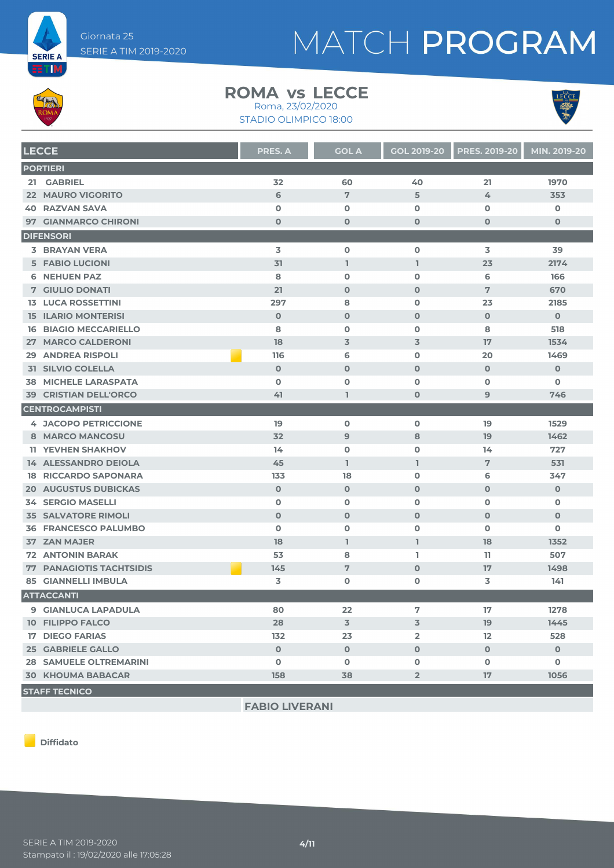



#### **ROMA** vs LECCE

STADIO OLIMPICO 18:00 Roma, 23/02/2020



**LECCE PRES. A GOL A GOL 2019-20 PRES. 2019-20 MIN. 2019-20 PORTIERI 21 GABRIEL 32 60 40 21 1970 MAURO VIGORITO 6 7 5 4 353 RAZVAN SAVA 0 0 0 0 0 GIANMARCO CHIRONI 0 0 0 0 0 DIFENSORI BRAYAN VERA 3 0 0 3 39 FABIO LUCIONI 31 1 1 23 2174 NEHUEN PAZ 8 0 0 6 166 GIULIO DONATI 21 0 0 7 670 LUCA ROSSETTINI 297 8 0 23 2185 ILARIO MONTERISI 0 0 0 0 0 BIAGIO MECCARIELLO 8 0 0 8 518 MARCO CALDERONI 18 3 3 17 1534 ANDREA RISPOLI 116 6 0 20 1469 SILVIO COLELLA 0 0 0 0 0 MICHELE LARASPATA 0 0 0 0 0 CRISTIAN DELL'ORCO 41 1 0 9 746 CENTROCAMPISTI JACOPO PETRICCIONE 19 0 0 19 1529 MARCO MANCOSU 32 9 8 19 1462 YEVHEN SHAKHOV 14 0 0 14 727 ALESSANDRO DEIOLA 45 1 1 7 531 RICCARDO SAPONARA 133 18 0 6 347 AUGUSTUS DUBICKAS 0 0 0 0 0 SERGIO MASELLI 0 0 0 0 0 SALVATORE RIMOLI 0 0 0 0 0 FRANCESCO PALUMBO 0 0 0 0 0 ZAN MAJER 18 1 1 18 1352 ANTONIN BARAK 53 8 1 11 507**

**FABIO LIVERANI**

 **PANAGIOTIS TACHTSIDIS 145 7 0 17 1498 GIANNELLI IMBULA 3 0 0 3 141**

 **GIANLUCA LAPADULA 80 22 7 17 1278 FILIPPO FALCO 28 3 3 19 1445 DIEGO FARIAS 132 23 2 12 528 GABRIELE GALLO 0 0 0 0 0 SAMUELE OLTREMARINI 0 0 0 0 0 KHOUMA BABACAR 158 38 2 17 1056**

**Diffidato**

**STAFF TECNICO**

**ATTACCANTI**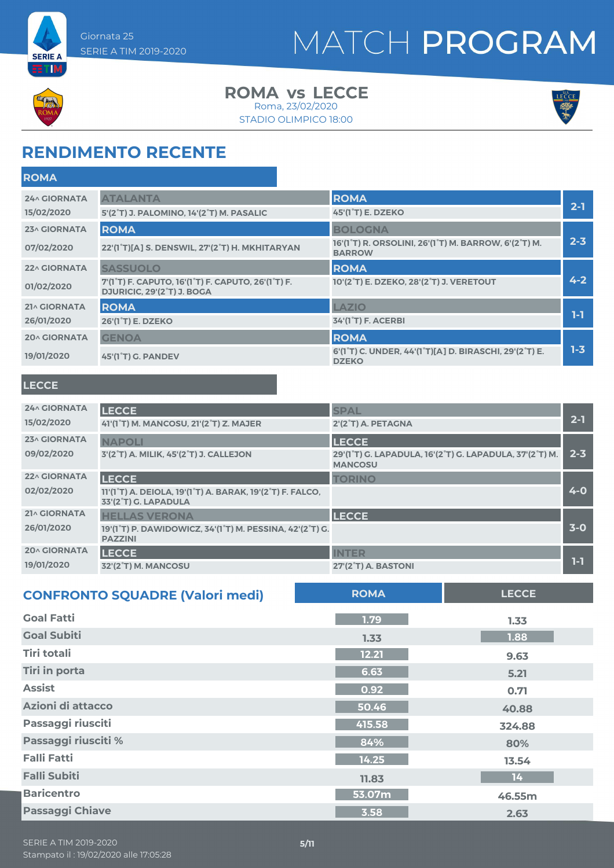



**ETM** 

#### **ROMA** vs LECCE Roma, 23/02/2020

STADIO OLIMPICO 18:00



### **RENDIMENTO RECENTE**

| <b>ROMA</b>         |                                                                                                                         |                                                                                                              |         |
|---------------------|-------------------------------------------------------------------------------------------------------------------------|--------------------------------------------------------------------------------------------------------------|---------|
| <b>24^ GIORNATA</b> | <b>ATALANTA</b>                                                                                                         | <b>ROMA</b>                                                                                                  |         |
| 15/02/2020          | 5'(2°T) J. PALOMINO, 14'(2°T) M. PASALIC                                                                                | 45'(1 <sup>°</sup> T) E. DZEKO                                                                               | $2 - 1$ |
| 23^ GIORNATA        | <b>ROMA</b>                                                                                                             | <b>BOLOGNA</b>                                                                                               |         |
| 07/02/2020          | 22'(1°T)[A] S. DENSWIL, 27'(2°T) H. MKHITARYAN                                                                          | 16'(1 <sup>°</sup> T) R. ORSOLINI, 26'(1 <sup>°</sup> T) M. BARROW, 6'(2 <sup>°</sup> T) M.<br><b>BARROW</b> | $2 - 3$ |
| 22^ GIORNATA        | <b>SASSUOLO</b>                                                                                                         | <b>ROMA</b>                                                                                                  |         |
| 01/02/2020          | 7'(1 <sup>°</sup> T) F. CAPUTO, 16'(1 <sup>°</sup> T) F. CAPUTO, 26'(1 <sup>°</sup> T) F.<br>DJURICIC, 29'(2°T) J. BOGA | 10'(2°T) E. DZEKO, 28'(2°T) J. VERETOUT                                                                      | $4 - 2$ |
| 21^ GIORNATA        | <b>ROMA</b>                                                                                                             | LAZIO                                                                                                        |         |
| 26/01/2020          | 26'(1 <sup>°</sup> T) E. DZEKO                                                                                          | 34'(1 <sup>°</sup> T) F. ACERBI                                                                              | $1-1$   |
| <b>20^ GIORNATA</b> | <b>GENOA</b>                                                                                                            | <b>ROMA</b>                                                                                                  |         |
| 19/01/2020          | 45'(1 <sup>°</sup> T) G. PANDEV                                                                                         | 6'(1°T) C. UNDER, 44'(1°T)[A] D. BIRASCHI, 29'(2°T) E.<br><b>DZEKO</b>                                       | $1 - 3$ |
|                     |                                                                                                                         |                                                                                                              |         |

#### **LECCE**

| <b>24^ GIORNATA</b><br>15/02/2020 | <b>LECCE</b><br>41'(1°T) M. MANCOSU, 21'(2°T) Z. MAJER                                                                                   | <b>SPAL</b><br>2'(2°T) A. PETAGNA                                                         | $2 - 1$ |
|-----------------------------------|------------------------------------------------------------------------------------------------------------------------------------------|-------------------------------------------------------------------------------------------|---------|
| 23^ GIORNATA<br>09/02/2020        | <b>NAPOLI</b><br>3'(2°T) A. MILIK, 45'(2°T) J. CALLEJON                                                                                  | <b>LECCE</b><br>29'(1°T) G. LAPADULA, 16'(2°T) G. LAPADULA, 37'(2°T) M.<br><b>MANCOSU</b> | $2 - 3$ |
| <b>22^ GIORNATA</b><br>02/02/2020 | <b>LECCE</b><br>11'(1 <sup>°</sup> T) A. DEIOLA, 19'(1 <sup>°</sup> T) A. BARAK, 19'(2 <sup>°</sup> T) F. FALCO,<br>33'(2°T) G. LAPADULA | <b>TORINO</b>                                                                             | $4 - 0$ |
| <b>21^ GIORNATA</b><br>26/01/2020 | <b>HELLAS VERONA</b><br>19'(1°T) P. DAWIDOWICZ, 34'(1°T) M. PESSINA, 42'(2°T) G.<br><b>PAZZINI</b>                                       | <b>LECCE</b>                                                                              | $3-0$   |
| <b>20^ GIORNATA</b><br>19/01/2020 | <b>LECCE</b><br>32'(2°T) M. MANCOSU                                                                                                      | <b>INTER</b><br><b>27'(2°T) A. BASTONI</b>                                                | 1-1     |

| <b>CONFRONTO SQUADRE (Valori medi)</b> | <b>ROMA</b> | <b>LECCE</b> |
|----------------------------------------|-------------|--------------|
| <b>Goal Fatti</b>                      | 1.79        | 1.33         |
| <b>Goal Subiti</b>                     | 1.33        | 1.88         |
| Tiri totali                            | 12.21       | 9.63         |
| <b>Tiri in porta</b>                   | 6.63        | 5.21         |
| <b>Assist</b>                          | 0.92        | 0.71         |
| Azioni di attacco                      | 50.46       | 40.88        |
| Passaggi riusciti                      | 415.58      | 324.88       |
| Passaggi riusciti %                    | 84%         | 80%          |
| <b>Falli Fatti</b>                     | 14.25       | 13.54        |
| <b>Falli Subiti</b>                    | 11.83       | 14           |
| <b>Baricentro</b>                      | 53.07m      | 46.55m       |
| <b>Passaggi Chiave</b>                 | 3.58        | 2.63         |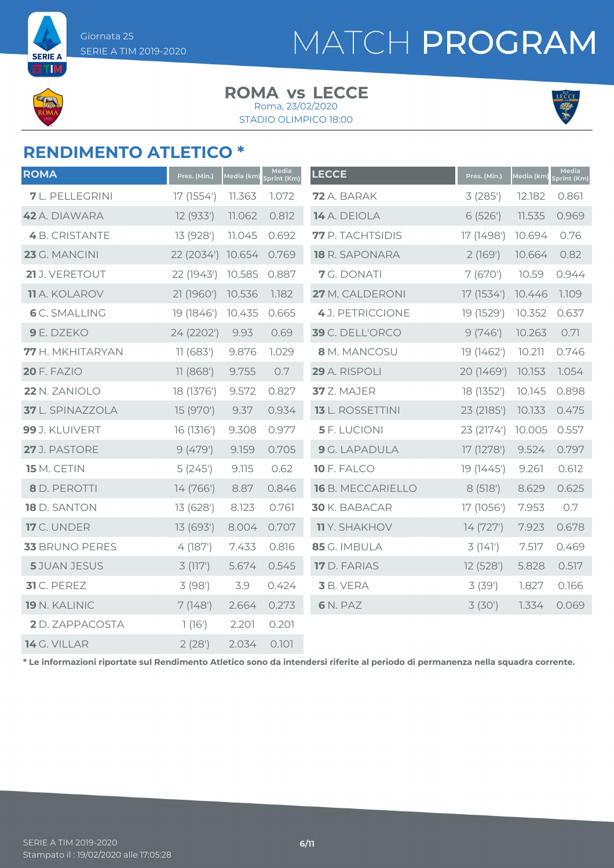**SERIE A**  $\Xi$ TIM

# MATCH PROGRAM

#### **ROMA** vs LECCE Roma, 23/02/2020

STADIO OLIMPICO 18:00



### **RENDIMENTO ATLETICO \***

| <b>ROMA</b>            | Pres. (Min.) | Media (km) | Media<br>Sprint (Km) | <b>LECCE</b>         | Pres. (Min.) | Media (km) | Media<br>Sprint (Km) |
|------------------------|--------------|------------|----------------------|----------------------|--------------|------------|----------------------|
| <b>7</b> L. PELLEGRINI | 17 (1554')   | 11.363     | 1.072                | 72 A. BARAK          | 3(285)       | 12.182     | 0.861                |
| 42 A. DIAWARA          | 12(933')     | 11.062     | 0.812                | 14 A. DEIOLA         | 6(526)       | 11.535     | 0.969                |
| <b>4</b> B. CRISTANTE  | 13 (928')    | 11.045     | 0.692                | 77 P. TACHTSIDIS     | 17 (1498')   | 10.694     | 0.76                 |
| 23 G. MANCINI          | 22 (2034')   | 10.654     | 0.769                | 18 R. SAPONARA       | 2(169)       | 10.664     | 0.82                 |
| 21 J. VERETOUT         | 22 (1943')   | 10.585     | 0.887                | 7 G. DONATI          | 7(670)       | 10.59      | 0.944                |
| <b>11</b> A. KOLAROV   | 21 (1960')   | 10.536     | 1.182                | 27 M. CALDERONI      | 17 (1534')   | 10.446     | 1.109                |
| <b>6</b> C. SMALLING   | 19 (1846')   | 10.435     | 0.665                | 4 J. PETRICCIONE     | 19 (1529')   | 10.352     | 0.637                |
| 9 E. DZEKO             | 24 (2202')   | 9.93       | 0.69                 | 39 C. DELL'ORCO      | 9(746)       | 10.263     | 0.71                 |
| 77 H. MKHITARYAN       | 11(683)      | 9.876      | 1.029                | 8 M. MANCOSU         | 19 (1462')   | 10.211     | 0.746                |
| <b>20 F. FAZIO</b>     | 11(868)      | 9.755      | 0.7                  | 29 A. RISPOLI        | 20 (1469')   | 10.153     | 1.054                |
| 22 N. ZANIOLO          | 18 (1376')   | 9.572      | 0.827                | 37 Z. MAJER          | 18 (1352')   | 10.145     | 0.898                |
| 37 L. SPINAZZOLA       | 15 (970')    | 9.37       | 0.934                | 13 L. ROSSETTINI     | 23 (2185')   | 10.133     | 0.475                |
| 99 J. KLUIVERT         | 16 (1316')   | 9.308      | 0.977                | <b>5</b> F. LUCIONI  | 23 (2174')   | 10.005     | 0.557                |
| 27 J. PASTORE          | 9(479)       | 9.159      | 0.705                | <b>9</b> G. LAPADULA | 17 (1278')   | 9.524      | 0.797                |
| 15 M. CETIN            | 5(245)       | 9.115      | 0.62                 | 10 F. FALCO          | 19 (1445')   | 9.261      | 0.612                |
| 8 D. PEROTTI           | 14 (766')    | 8.87       | 0.846                | 16 B. MECCARIELLO    | 8(518)       | 8.629      | 0.625                |
| 18 D. SANTON           | 13 (628')    | 8.123      | 0.761                | 30 K. BABACAR        | 17 (1056')   | 7.953      | 0.7                  |
| <b>17</b> C. UNDER     | 13 (693')    | 8.004      | 0.707                | <b>11</b> Y. SHAKHOV | 14(727)      | 7.923      | 0.678                |
| 33 BRUNO PERES         | 4(187)       | 7.433      | 0.816                | 85 G. IMBULA         | 3(141)       | 7.517      | 0.469                |
| <b>5</b> JUAN JESUS    | 3(117)       | 5.674      | 0.545                | 17 D. FARIAS         | 12 (528')    | 5.828      | 0.517                |
| $31$ C. PEREZ          | 3(98)        | 3.9        | 0.424                | 3 B. VERA            | 3(39)        | 1.827      | 0.166                |
| 19 N. KALINIC          | 7(148)       | 2.664      | 0.273                | 6 N. PAZ             | 3(30)        | 1.334      | 0.069                |
| <b>2</b> D. ZAPPACOSTA | 1(16')       | 2.201      | 0.201                |                      |              |            |                      |
| 14 G. VILLAR           | 2(28)        | 2.034      | 0.101                |                      |              |            |                      |

**\* Le informazioni riportate sul Rendimento Atletico sono da intendersi riferite al periodo di permanenza nella squadra corrente.**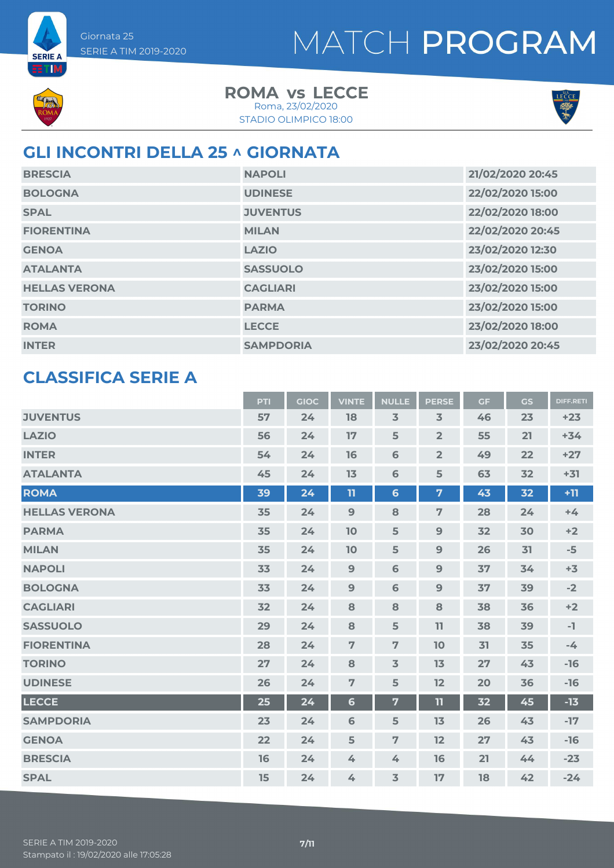

**SERIE A ETM** 

> **ROMA** vs LECCE STADIO OLIMPICO 18:00 Roma, 23/02/2020



## **GLI INCONTRI DELLA 25 ^ GIORNATA**

| <b>BRESCIA</b>       | <b>NAPOLI</b>    | 21/02/2020 20:45 |
|----------------------|------------------|------------------|
| <b>BOLOGNA</b>       | <b>UDINESE</b>   | 22/02/2020 15:00 |
| <b>SPAL</b>          | <b>JUVENTUS</b>  | 22/02/2020 18:00 |
| <b>FIORENTINA</b>    | <b>MILAN</b>     | 22/02/2020 20:45 |
| <b>GENOA</b>         | <b>LAZIO</b>     | 23/02/2020 12:30 |
| <b>ATALANTA</b>      | <b>SASSUOLO</b>  | 23/02/2020 15:00 |
| <b>HELLAS VERONA</b> | <b>CAGLIARI</b>  | 23/02/2020 15:00 |
| <b>TORINO</b>        | <b>PARMA</b>     | 23/02/2020 15:00 |
| <b>ROMA</b>          | <b>LECCE</b>     | 23/02/2020 18:00 |
| <b>INTER</b>         | <b>SAMPDORIA</b> | 23/02/2020 20:45 |

### **CLASSIFICA SERIE A**

|                      | <b>PTI</b> | <b>GIOC</b> | <b>VINTE</b>   | <b>NULLE</b>            | <b>PERSE</b>   | <b>GF</b> | GS | <b>DIFF.RETI</b> |
|----------------------|------------|-------------|----------------|-------------------------|----------------|-----------|----|------------------|
| <b>JUVENTUS</b>      | 57         | 24          | 18             | $\overline{\mathbf{3}}$ | $\overline{3}$ | 46        | 23 | $+23$            |
| <b>LAZIO</b>         | 56         | 24          | 17             | 5                       | $\overline{2}$ | 55        | 21 | $+34$            |
| <b>INTER</b>         | 54         | 24          | 16             | 6                       | $\overline{2}$ | 49        | 22 | $+27$            |
| <b>ATALANTA</b>      | 45         | 24          | 13             | 6                       | 5              | 63        | 32 | $+31$            |
| <b>ROMA</b>          | 39         | 24          | 11             | $6\phantom{1}$          | $\overline{7}$ | 43        | 32 | $+11$            |
| <b>HELLAS VERONA</b> | 35         | 24          | $9$            | 8                       | $\overline{7}$ | 28        | 24 | $+4$             |
| <b>PARMA</b>         | 35         | 24          | 10             | 5                       | 9              | 32        | 30 | $+2$             |
| <b>MILAN</b>         | 35         | 24          | 10             | 5                       | 9              | 26        | 31 | $-5$             |
| <b>NAPOLI</b>        | 33         | 24          | 9              | 6                       | 9              | 37        | 34 | $+3$             |
| <b>BOLOGNA</b>       | 33         | 24          | $\overline{9}$ | $\mathbf 6$             | 9              | 37        | 39 | $-2$             |
| <b>CAGLIARI</b>      | 32         | 24          | 8              | 8                       | 8              | 38        | 36 | $+2$             |
| <b>SASSUOLO</b>      | 29         | 24          | 8              | 5                       | 11             | 38        | 39 | $-1$             |
| <b>FIORENTINA</b>    | 28         | 24          | $\overline{7}$ | $\overline{7}$          | 10             | 31        | 35 | $-4$             |
| <b>TORINO</b>        | 27         | 24          | 8              | $\overline{\mathbf{3}}$ | 13             | 27        | 43 | $-16$            |
| <b>UDINESE</b>       | 26         | 24          | $\overline{7}$ | 5                       | 12             | 20        | 36 | $-16$            |
| <b>LECCE</b>         | 25         | 24          | 6              | $\overline{\mathbf{z}}$ | $\mathbf{u}$   | 32        | 45 | $-13$            |
| <b>SAMPDORIA</b>     | 23         | 24          | 6              | 5                       | 13             | 26        | 43 | $-17$            |
| <b>GENOA</b>         | 22         | 24          | 5              | $\overline{7}$          | 12             | 27        | 43 | $-16$            |
| <b>BRESCIA</b>       | 16         | 24          | $\overline{4}$ | 4                       | 16             | 21        | 44 | $-23$            |
| <b>SPAL</b>          | 15         | 24          | 4              | $\overline{\mathbf{3}}$ | 17             | 18        | 42 | $-24$            |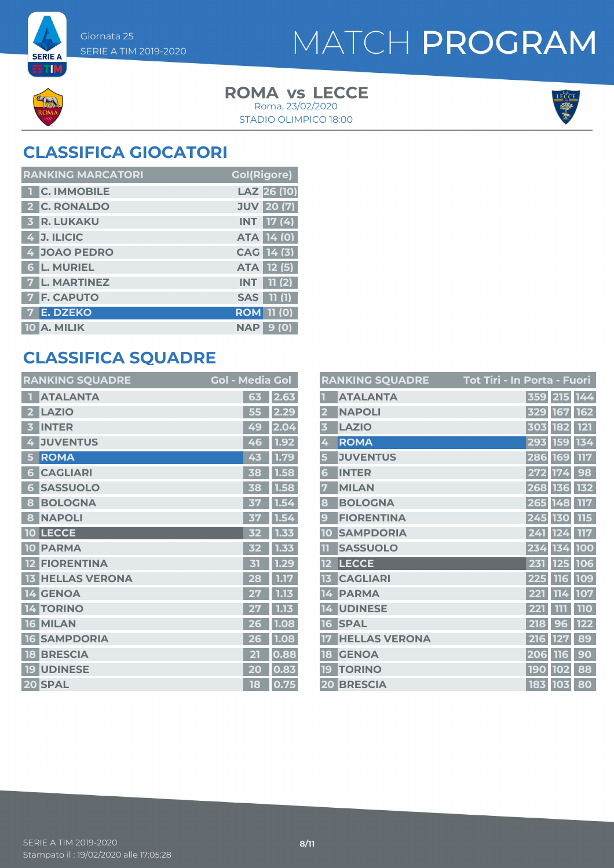

**SERIE A** ETM

> **ROMA** vs LECCE STADIO OLIMPICO 18:00 Roma, 23/02/2020



## **CLASSIFICA GIOCATORI**

| <b>RANKING MARCATORI</b> | <b>Gol(Rigore)</b>          |
|--------------------------|-----------------------------|
| <b>C. IMMOBILE</b>       | LAZ 26 (10)                 |
| 2 C. RONALDO             | <b>JUV</b> 20 (7)           |
| <b>3 R. LUKAKU</b>       | <b>INT 17 (4)</b>           |
| 4 J. ILICIC              | <b>ATA 14 (0)</b>           |
| 4 JOAO PEDRO             | CAG 14 (3)                  |
| <b>6 L. MURIEL</b>       | <b>ATA 12 (5)</b>           |
| <b>7 L. MARTINEZ</b>     | <b>11 (2)</b><br><b>INT</b> |
| <b>7 F. CAPUTO</b>       | 11(1)<br><b>SAS</b>         |
| E. DZEKO                 | <b>ROM 11 (0)</b>           |
| 10 A. MILIK              | <b>NAP</b><br>9 (O)         |

## **CLASSIFICA SQUADRE**

| <b>RANKING SQUADRE</b>     | <b>Gol - Media Gol</b> |      |
|----------------------------|------------------------|------|
| <b>ATALANTA</b>            | 63                     | 2.63 |
| <b>LAZIO</b>               | 55                     | 2.29 |
| <b>INTER</b><br>3          | 49                     | 2.04 |
| <b>JUVENTUS</b><br>4       | 46                     | 1.92 |
| <b>ROMA</b><br>5           | 43                     | 1.79 |
| <b>CAGLIARI</b><br>6       | 38                     | 1.58 |
| <b>SASSUOLO</b><br>G       | 38                     | 1.58 |
| <b>BOLOGNA</b><br>8        | 37                     | 1.54 |
| <b>NAPOLI</b><br>8         | 37                     | 1.54 |
| <b>LECCE</b><br>10         | 32                     | 1.33 |
| <b>PARMA</b><br>10         | 32                     | 1.33 |
| <b>FIORENTINA</b>          | 斫                      | 1.29 |
| <b>HELLAS VERONA</b><br>13 | 28                     | 1.17 |
| 14 GENOA                   | 27                     | 1.13 |
| <b>TORINO</b><br>14        |                        | 1.13 |
| <b>MILAN</b><br><b>16</b>  | 26                     | 1.08 |
| <b>SAMPDORIA</b><br>16     | 26                     | 1.08 |
| <b>BRESCIA</b><br>18       | 21                     | 0.88 |
| <b>UDINESE</b><br>19       | 20                     | 0.83 |
| 20 SPAL                    | 18                     | 0.75 |

|                 | <b>RANKING SQUADRE</b> | <u> Tot Tir</u> i - In Porta - Fuori |            |                   |            |
|-----------------|------------------------|--------------------------------------|------------|-------------------|------------|
|                 | <b>ATALANTA</b>        |                                      |            | 359 215 144       |            |
|                 | <b>NAPOLI</b>          |                                      |            | 329 167           | <b>162</b> |
| 3               | <b>LAZIO</b>           |                                      | 303        | 182               | 121        |
| 4               | <b>ROMA</b>            |                                      |            | 293 159           | 134        |
| 5               | <b>JUVENTUS</b>        |                                      |            | 286 169           | <b>117</b> |
| 6               | <b>INTER</b>           |                                      | 272        | 174               | 98         |
| 7               | <b>MILAN</b>           |                                      |            | 268 136           | 132        |
| 8               | <b>BOLOGNA</b>         |                                      | 265 148    |                   | 117        |
| 9               | <b>FIORENTINA</b>      |                                      | 245 130    |                   | 115        |
| 10              | <b>SAMPDORIA</b>       |                                      | 241        | 124               | 117        |
|                 | <b>SASSUOLO</b>        |                                      | 234        | 134               | <b>100</b> |
| 12              | <b>LECCE</b>           |                                      |            | 231 125           | 106        |
| 13              | <b>CAGLIARI</b>        |                                      |            | 225 116           | 109        |
| 14              | <b>PARMA</b>           |                                      | 221        | 114               | 107        |
| 14              | <b>UDINESE</b>         |                                      | 221        | 111               | <b>110</b> |
| 16              | <b>SPAL</b>            |                                      | 218        | $\mathbf{g}$<br>6 | $122$      |
|                 | <b>HELLAS VERONA</b>   |                                      | 216        | <b>127</b>        | 89         |
| 18              | <b>GENOA</b>           |                                      | 206        | <b>116</b>        | 90         |
| 19              | <b>TORINO</b>          |                                      | <b>190</b> | <b>102</b>        | 88         |
| $\overline{20}$ | <b>BRESCIA</b>         |                                      |            | 183 103           | 80         |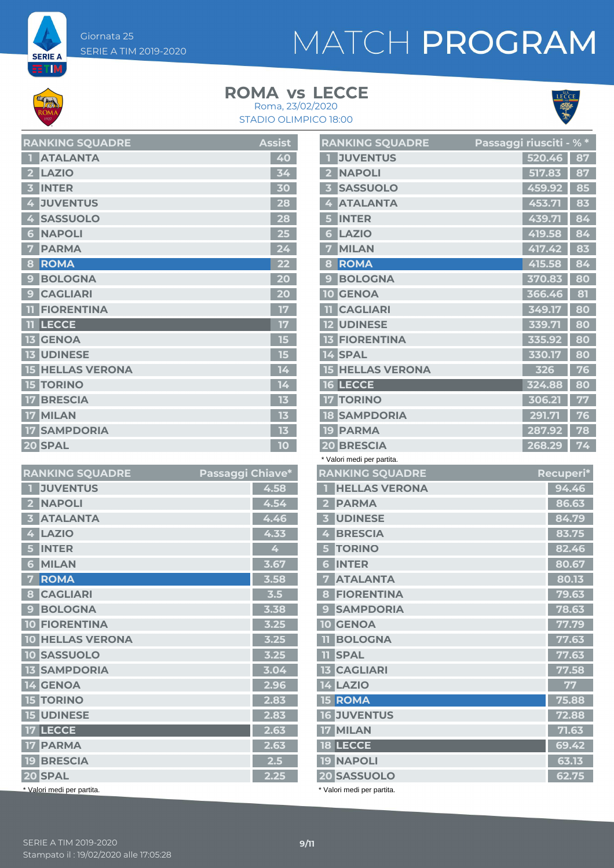Giornata 25 SERIE A TIM 2019-2020

## MATCH PROGRAM

**SERIE A ETIM** 

#### **ROMA** vs LECCE Roma, 23/02/2020





|                         | <b>ATALANTA</b>         | 40              |
|-------------------------|-------------------------|-----------------|
| $\overline{\mathbf{2}}$ | <b>LAZIO</b>            | 34              |
| 3                       | <b>INTER</b>            | 30              |
| 4                       | <b>JUVENTUS</b>         | 28              |
| 4                       | <b>SASSUOLO</b>         | 28              |
| 6                       | <b>NAPOLI</b>           | $\overline{25}$ |
| 7                       | <b>PARMA</b>            | 24              |
| 8                       | <b>ROMA</b>             | 22              |
| 9                       | <b>BOLOGNA</b>          | 20              |
| 9                       | <b>CAGLIARI</b>         | 20              |
| m                       | <b>FIORENTINA</b>       | 17              |
| Ш                       | <b>LECCE</b>            | 17              |
|                         | <b>13 GENOA</b>         | 15              |
|                         | <b>13 UDINESE</b>       | 15              |
|                         | <b>15 HELLAS VERONA</b> | 14              |
| П<br>51                 | <b>TORINO</b>           | 14              |
| 17 <sup>1</sup>         | <b>BRESCIA</b>          | 13              |
|                         | 17 MILAN                | 13              |
|                         | <b>17 SAMPDORIA</b>     | 13              |
|                         | 20 SPAL                 | 10              |

**RANKING SOUADRE Assist** 

| <b>RANKING SQUADRE</b>         | Passaggi Chiave* |      |
|--------------------------------|------------------|------|
| <b>JUVENTUS</b>                |                  | 4.58 |
| <b>NAPOLI</b>                  |                  | 4.54 |
| <b>ATALANTA</b><br>В           |                  | 4.46 |
| <b>LAZIO</b><br>4              |                  | 4.33 |
| <b>INTER</b><br>5              |                  | 4    |
| <b>MILAN</b><br>6              |                  | 3.67 |
| <b>ROMA</b><br>7               |                  | 3.58 |
| <b>CAGLIARI</b><br>8           |                  | 3.5  |
| <b>BOLOGNA</b><br>$\mathbf{C}$ |                  | 3.38 |
| <b>10 FIORENTINA</b>           |                  | 3.25 |
| <b>10 HELLAS VERONA</b>        |                  | 3.25 |
| <b>10 SASSUOLO</b>             |                  | 3.25 |
| <b>13 SAMPDORIA</b>            |                  | 3.04 |
| 14 GENOA                       |                  | 2.96 |
| <b>15 TORINO</b>               |                  | 2.83 |
| <b>15 UDINESE</b>              |                  | 2.83 |
| 17 LECCE                       |                  | 2.63 |
| <b>17 PARMA</b>                |                  | 2.63 |
| <b>19 BRESCIA</b>              |                  | 2.5  |
| 20 SPAL                        |                  | 2.25 |
| * Valori medi per partita.     |                  |      |

|                         | <b>RANKING SQUADRE</b>          | <u>Passaggi riusciti - % *</u> |        |                |
|-------------------------|---------------------------------|--------------------------------|--------|----------------|
| П                       | <b>JUVENTUS</b>                 |                                | 520.46 | 87             |
| $\mathbf{2}$            | <b>NAPOLI</b>                   |                                | 517.83 | 87             |
| $\overline{\mathbf{3}}$ | <b>SASSUOLO</b>                 |                                | 459.92 | 85             |
| 4                       | <b>ATALANTA</b>                 |                                | 453.71 | 83             |
| 5 <sup>1</sup>          | <b>INTER</b>                    |                                | 439.71 | 84             |
| 6 <sup>1</sup>          | <b>LAZIO</b>                    |                                | 419.58 | 84             |
| 7                       | <b>MILAN</b>                    |                                | 417.42 | 83             |
| 8                       | <b>ROMA</b>                     |                                | 415.58 | 84             |
| 9 <sup>1</sup>          | <b>BOLOGNA</b>                  |                                | 370.83 | 80             |
| 10                      | <b>GENOA</b>                    |                                | 366.46 | 81             |
|                         | <b>TI CAGLIARI</b>              |                                | 349.17 | 80             |
|                         | <b>12 UDINESE</b>               |                                | 339.71 | 80             |
|                         | <b>13 FIORENTINA</b>            |                                | 335.92 | 80             |
|                         | 14 SPAL                         |                                | 330.17 | 80             |
|                         | <b>15 HELLAS VERONA</b>         |                                | 326    | 76             |
|                         | <b>16 LECCE</b>                 |                                | 324.88 | 80             |
|                         | <b>17 TORINO</b>                |                                | 306.21 | 77             |
|                         | <b>18 SAMPDORIA</b>             |                                | 291.71 | 76             |
|                         | <b>19 PARMA</b>                 |                                | 287.92 | 78             |
|                         | <b>20 BRESCIA</b>               |                                | 268.29 | 74             |
|                         | * Valori medi per partita.      |                                |        |                |
|                         |                                 |                                |        |                |
|                         | <b>RANKING SQUADRE</b>          |                                |        | Recuperi*      |
| п                       | <b>HELLAS VERONA</b>            |                                |        | 94.46          |
|                         | 2 PARMA                         |                                |        | 86.63          |
|                         | <b>3 UDINESE</b>                |                                |        | 84.79          |
|                         | 4 BRESCIA                       |                                |        | 83.75          |
| 5 <sup>1</sup>          | <b>TORINO</b>                   |                                |        | 82.46          |
|                         | <b>6 INTER</b>                  |                                |        | 80.67          |
|                         | <b>7 ATALANTA</b>               |                                |        | 80.13          |
|                         | <b>8 FIORENTINA</b>             |                                |        | 79.63          |
|                         | <b>9 SAMPDORIA</b>              |                                |        | 78.63          |
|                         | <b>10 GENOA</b>                 |                                |        | 77.79          |
|                         | <b>II BOLOGNA</b>               |                                |        | 77.63          |
|                         | <b>II SPAL</b>                  |                                |        | 77.63          |
|                         | <b>13 CAGLIARI</b>              |                                |        | 77.58          |
|                         | <b>14 LAZIO</b>                 |                                |        | 77             |
|                         | 15 ROMA                         |                                |        | 75.88          |
|                         | <b>16 JUVENTUS</b>              |                                |        | 72.88          |
|                         | <b>17 MILAN</b>                 |                                |        | 71.63          |
|                         | <b>18 LECCE</b>                 |                                |        | 69.42          |
|                         | <b>19 NAPOLI</b><br>20 SASSUOLO |                                |        | 63.13<br>62.75 |

\* Valori medi per partita.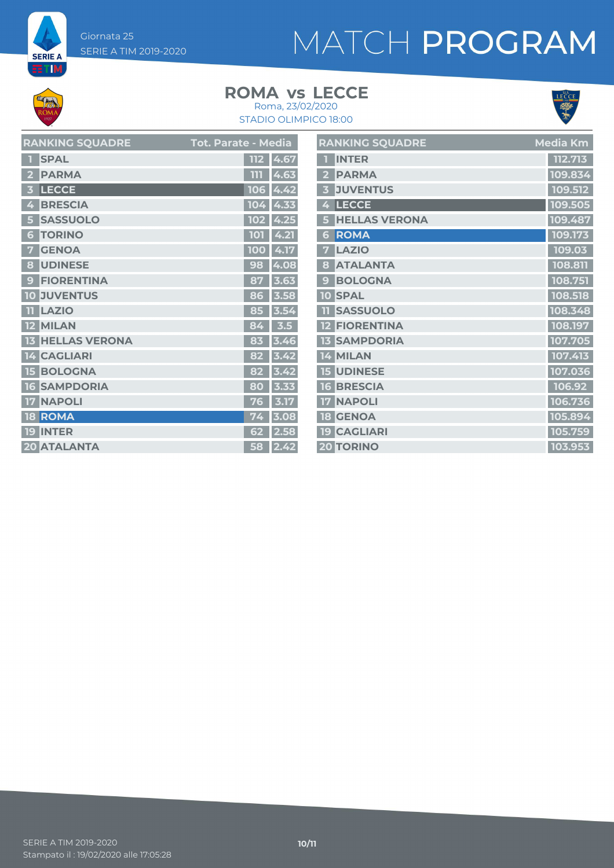Giornata 25 SERIE A TIM 2019-2020

# MATCH PROGRAM

**SERIE A ET M** 

### **ROMA** vs LECCE



STADIO OLIMPICO 18:00 Roma, 23/02/2020

| <b>RANKING SQUADRE</b>  | Tot. Parate - Media | <b>RANKING SQUADRE</b> | Media Km |
|-------------------------|---------------------|------------------------|----------|
| <b>1</b> SPAL           | 112 4.67            | <b>INTER</b>           | 112.713  |
| 2 PARMA                 | 111 4.63            | 2 PARMA                | 109.834  |
| 3 LECCE                 | $106$ 4.42          | 3 JUVENTUS             | 109.512  |
| 4 BRESCIA               | $104$ 4.33          | 4 LECCE                | 109.505  |
| 5 SASSUOLO              | $102$ 4.25          | <b>5 HELLAS VERONA</b> | 109.487  |
| <b>6 TORINO</b>         | 101 4.21            | 6 ROMA                 | 109.173  |
| <b>7 GENOA</b>          | 100 4.17            | <b>7 LAZIO</b>         | 109.03   |
| 8 UDINESE               | 98 4.08             | 8 ATALANTA             | 108.811  |
| 9 FIORENTINA            | 87 3.63             | <b>9 BOLOGNA</b>       | 108.751  |
| <b>10 JUVENTUS</b>      | 86 3.58             | 10 SPAL                | 108.518  |
| <b>TILAZIO</b>          | 85 3.54             | <b>11 SASSUOLO</b>     | 108.348  |
| 12 MILAN                | $84 \mid 3.5 \mid$  | <b>12 FIORENTINA</b>   | 108.197  |
| <b>13 HELLAS VERONA</b> | 83 3.46             | <b>13 SAMPDORIA</b>    | 107.705  |
| 14 CAGLIARI             | $82 \mid 3.42 \mid$ | 14 MILAN               | 107.413  |
| <b>15 BOLOGNA</b>       | $82 \mid 3.42 \mid$ | <b>15 UDINESE</b>      | 107.036  |
| <b>16 SAMPDORIA</b>     | $80$ 3.33           | <b>16 BRESCIA</b>      | 106.92   |
| <b>17 NAPOLI</b>        | $76$ 3.17           | <b>17 NAPOLI</b>       | 106.736  |
| <b>18 ROMA</b>          | $74$ 3.08           | <b>18 GENOA</b>        | 105.894  |
| <b>19 INTER</b>         | $62$ 2.58           | <b>19 CAGLIARI</b>     | 105.759  |
| <b>20 ATALANTA</b>      | $58$ 2.42           | 20 TORINO              | 103.953  |